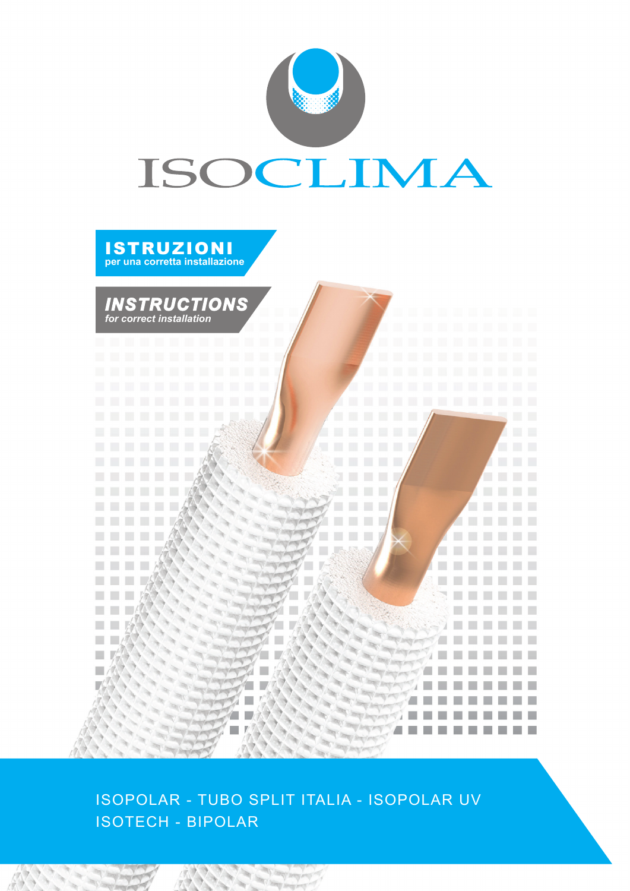



ISOPOLAR - TUBO SPLIT ITALIA - ISOPOLAR UV ISOTECH - BIPOLAR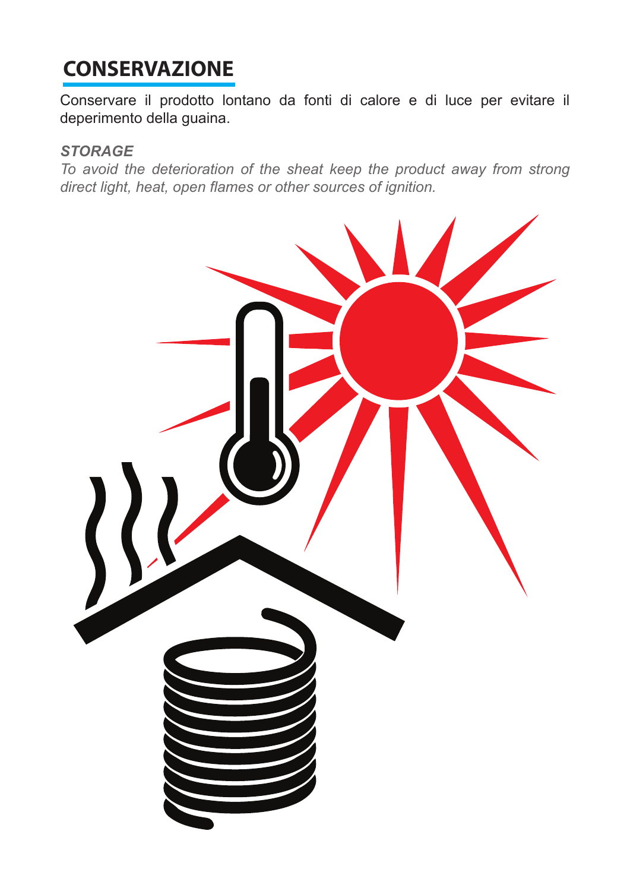## **CONSERVAZIONE**

Conservare il prodotto lontano da fonti di calore e di luce per evitare il deperimento della guaina.

### *STORAGE*

*To avoid the deterioration of the sheat keep the product away from strong direct light, heat, open flames or other sources of ignition.*

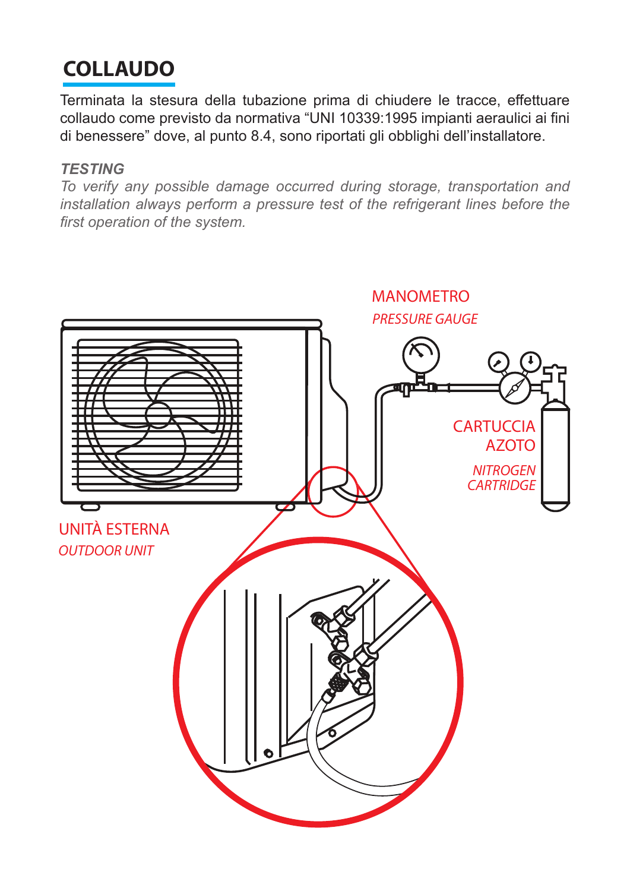# **COLLAUDO**

Terminata la stesura della tubazione prima di chiudere le tracce, effettuare collaudo come previsto da normativa "UNI 10339:1995 impianti aeraulici ai fini di benessere" dove, al punto 8.4, sono riportati gli obblighi dell'installatore.

#### *TESTING*

*To verify any possible damage occurred during storage, transportation and*  installation always perform a pressure test of the refrigerant lines before the *first operation of the system.*

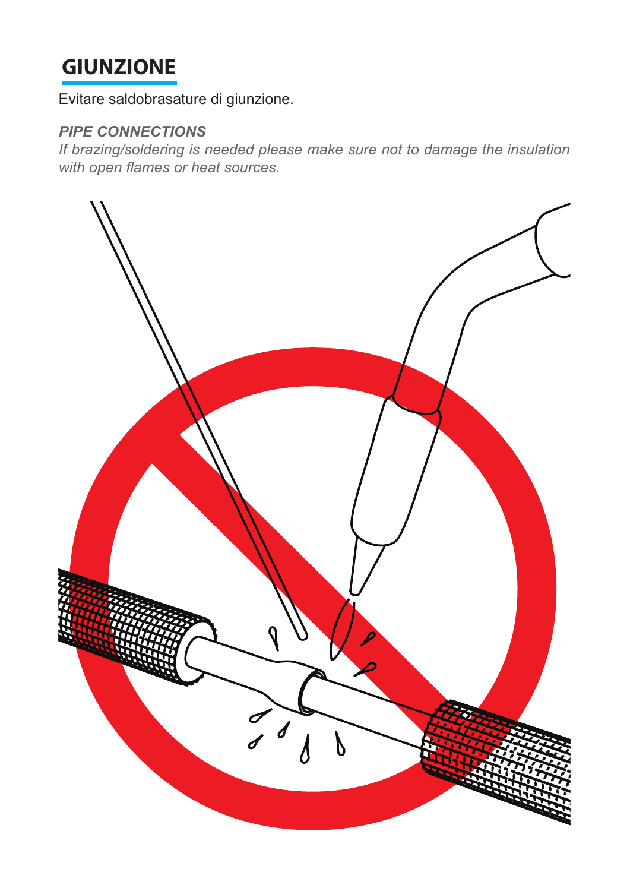### **GIUNZIONE**

Evitare saldobrasature di giunzione.

### *PIPE CONNECTIONS*

*If brazing/soldering is needed please make sure not to damage the insulation with open flames or heat sources.* 

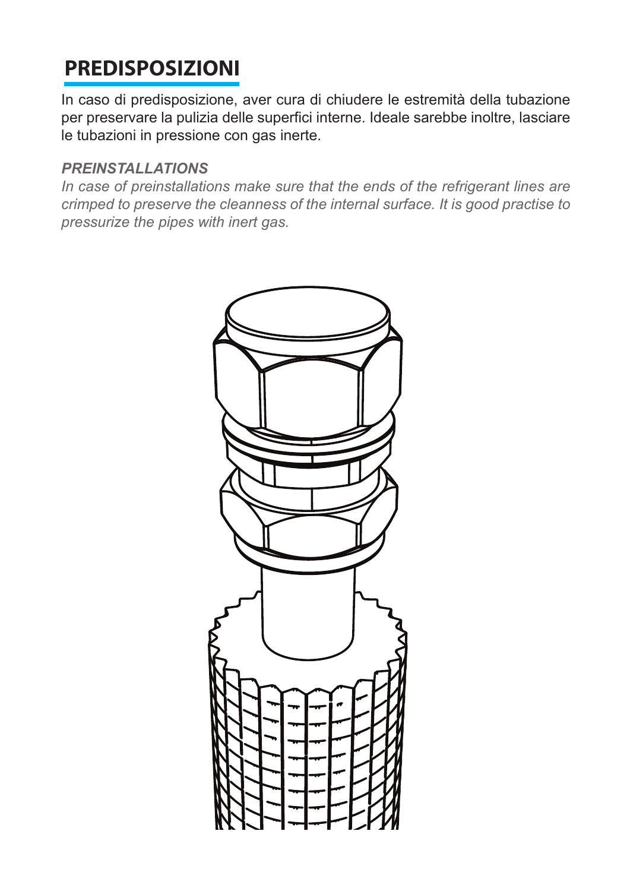# **PREDISPOSIZIONI**

In caso di predisposizione, aver cura di chiudere le estremità della tubazione per preservare la pulizia delle superfici interne. Ideale sarebbe inoltre, lasciare le tubazioni in pressione con gas inerte.

#### *PREINSTALLATIONS*

*In case of preinstallations make sure that the ends of the refrigerant lines are crimped to preserve the cleanness of the internal surface. It is good practise to pressurize the pipes with inert gas.* 

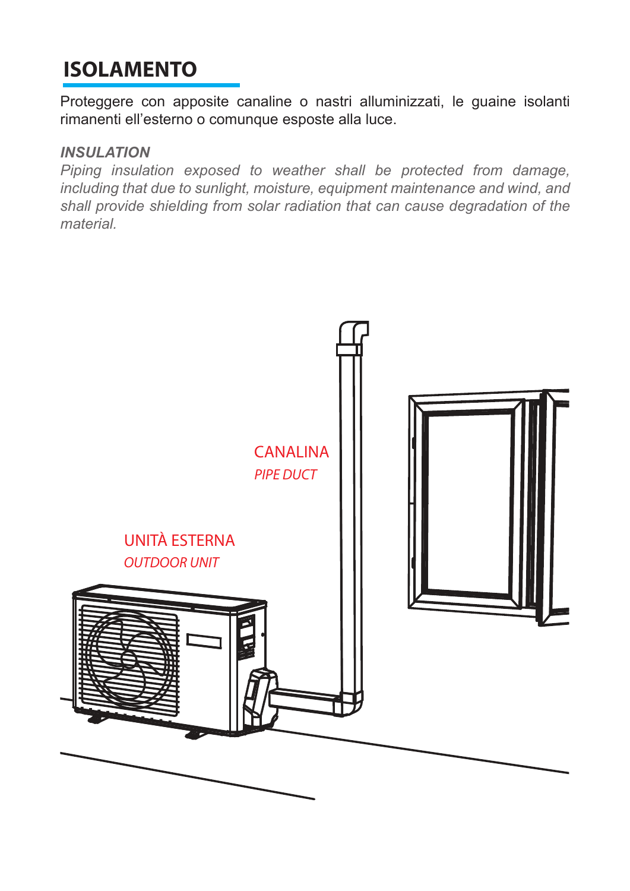## **ISOLAMENTO**

Proteggere con apposite canaline o nastri alluminizzati, le guaine isolanti rimanenti ell'esterno o comunque esposte alla luce.

#### *INSULATION*

*Piping insulation exposed to weather shall be protected from damage, including that due to sunlight, moisture, equipment maintenance and wind, and shall provide shielding from solar radiation that can cause degradation of the material.*

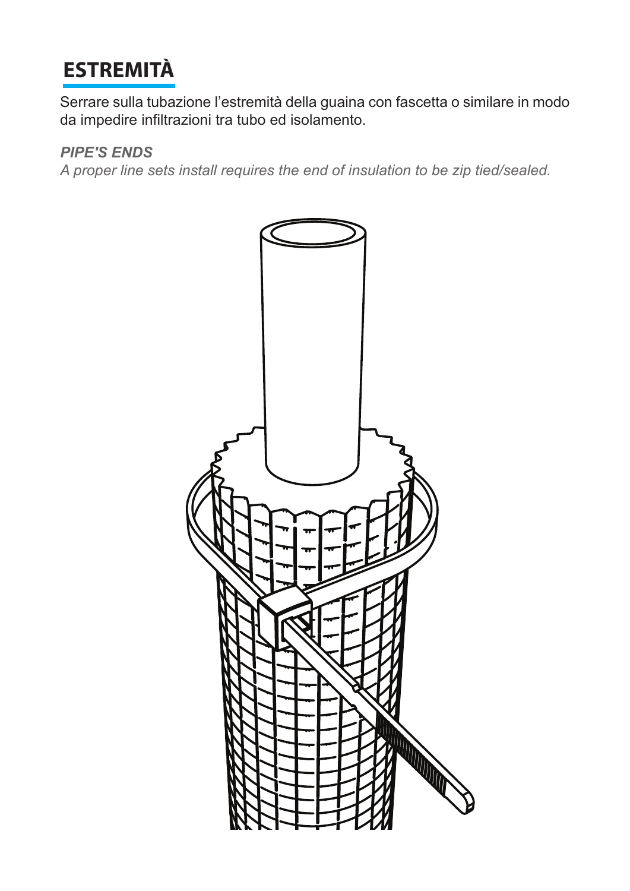# **ESTREMITÀ**

Serrare sulla tubazione l'estremità della guaina con fascetta o similare in modo da impedire infiltrazioni tra tubo ed isolamento.

#### *PIPE'S ENDS*

*A proper line sets install requires the end of insulation to be zip tied/sealed.*